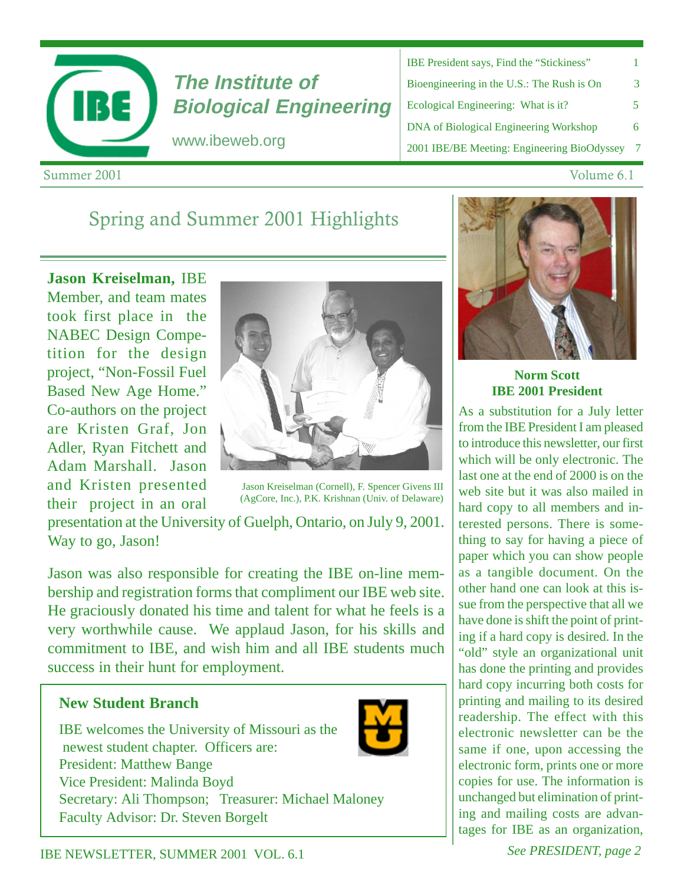

# **The Institute of Biological Engineering**

www.ibeweb.org

| <b>IBE President says, Find the "Stickiness"</b> |    |
|--------------------------------------------------|----|
| Bioengineering in the U.S.: The Rush is On       | 3  |
| Ecological Engineering: What is it?              | 5. |
| <b>DNA</b> of Biological Engineering Workshop    | 6  |
| 2001 IBE/BE Meeting: Engineering BioOdyssey      | 7  |

Summer 2001 ummer 2001 v

#### Volume 6.1

## Spring and Summer 2001 Highlights

**Jason Kreiselman,** IBE Member, and team mates took first place in the NABEC Design Competition for the design project, "Non-Fossil Fuel Based New Age Home." Co-authors on the project are Kristen Graf, Jon Adler, Ryan Fitchett and Adam Marshall. Jason and Kristen presented their project in an oral



Jason Kreiselman (Cornell), F. Spencer Givens III (AgCore, Inc.), P.K. Krishnan (Univ. of Delaware)

presentation at the University of Guelph, Ontario, on July 9, 2001. Way to go, Jason!

Jason was also responsible for creating the IBE on-line membership and registration forms that compliment our IBE web site. He graciously donated his time and talent for what he feels is a very worthwhile cause. We applaud Jason, for his skills and commitment to IBE, and wish him and all IBE students much success in their hunt for employment.

### **New Student Branch**

IBE welcomes the University of Missouri as the newest student chapter. Officers are: President: Matthew Bange Vice President: Malinda Boyd Secretary: Ali Thompson; Treasurer: Michael Maloney Faculty Advisor: Dr. Steven Borgelt



**Norm Scott IBE 2001 President**

As a substitution for a July letter from the IBE President I am pleased to introduce this newsletter, our first which will be only electronic. The last one at the end of 2000 is on the web site but it was also mailed in hard copy to all members and interested persons. There is something to say for having a piece of paper which you can show people as a tangible document. On the other hand one can look at this issue from the perspective that all we have done is shift the point of printing if a hard copy is desired. In the "old" style an organizational unit has done the printing and provides hard copy incurring both costs for printing and mailing to its desired readership. The effect with this electronic newsletter can be the same if one, upon accessing the electronic form, prints one or more copies for use. The information is unchanged but elimination of printing and mailing costs are advantages for IBE as an organization,

**IBE NEWSLETTER, SUMMER 2001 VOL. 6.1** See PRESIDENT, page 2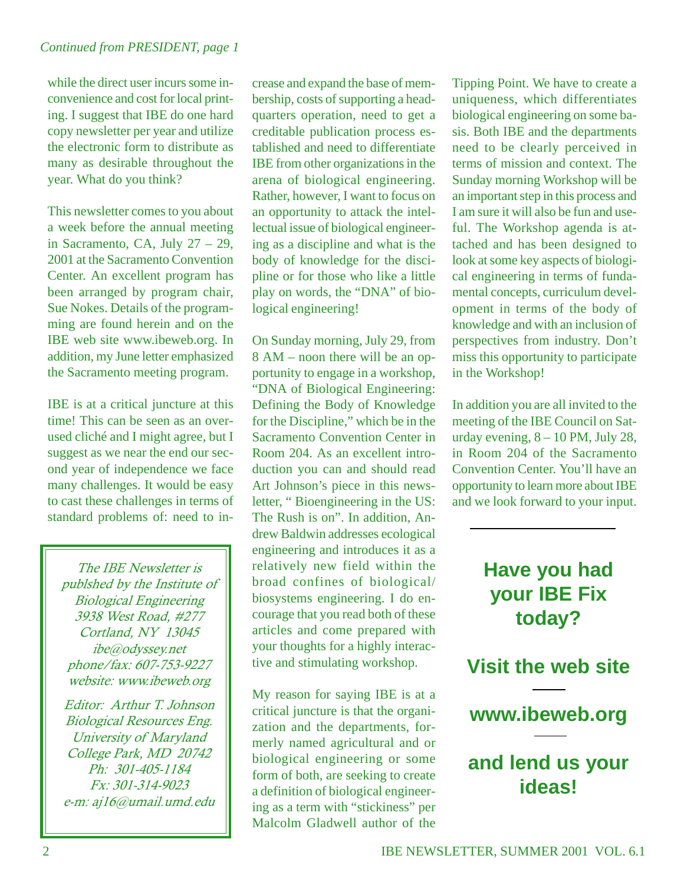while the direct user incurs some inconvenience and cost for local printing. I suggest that IBE do one hard copy newsletter per year and utilize the electronic form to distribute as many as desirable throughout the year. What do you think?

This newsletter comes to you about a week before the annual meeting in Sacramento, CA, July 27 – 29, 2001 at the Sacramento Convention Center. An excellent program has been arranged by program chair, Sue Nokes. Details of the programming are found herein and on the IBE web site www.ibeweb.org. In addition, my June letter emphasized the Sacramento meeting program.

IBE is at a critical juncture at this time! This can be seen as an overused cliché and I might agree, but I suggest as we near the end our second year of independence we face many challenges. It would be easy to cast these challenges in terms of standard problems of: need to in-

The IBE Newsletter is publshed by the Institute of **Biological Engineering** 3938 West Road, #277 Cortland, NY 13045 ibe@odyssey.net phone/fax: 607-753-9227 website: www.ibeweb.org

Editor: Arthur T. Johnson Biological Resources Eng. University of Maryland College Park, MD 20742 Ph: 301-405-1184 Fx: 301-314-9023 e-m: aj16@umail.umd.edu crease and expand the base of membership, costs of supporting a headquarters operation, need to get a creditable publication process established and need to differentiate IBE from other organizations in the arena of biological engineering. Rather, however, I want to focus on an opportunity to attack the intellectual issue of biological engineering as a discipline and what is the body of knowledge for the discipline or for those who like a little play on words, the "DNA" of biological engineering!

On Sunday morning, July 29, from 8 AM – noon there will be an opportunity to engage in a workshop, "DNA of Biological Engineering: Defining the Body of Knowledge for the Discipline," which be in the Sacramento Convention Center in Room 204. As an excellent introduction you can and should read Art Johnson's piece in this newsletter, " Bioengineering in the US: The Rush is on". In addition, Andrew Baldwin addresses ecological engineering and introduces it as a relatively new field within the broad confines of biological/ biosystems engineering. I do encourage that you read both of these articles and come prepared with your thoughts for a highly interactive and stimulating workshop.

My reason for saying IBE is at a critical juncture is that the organization and the departments, formerly named agricultural and or biological engineering or some form of both, are seeking to create a definition of biological engineering as a term with "stickiness" per Malcolm Gladwell author of the Tipping Point. We have to create a uniqueness, which differentiates biological engineering on some basis. Both IBE and the departments need to be clearly perceived in terms of mission and context. The Sunday morning Workshop will be an important step in this process and I am sure it will also be fun and useful. The Workshop agenda is attached and has been designed to look at some key aspects of biological engineering in terms of fundamental concepts, curriculum development in terms of the body of knowledge and with an inclusion of perspectives from industry. Don't miss this opportunity to participate in the Workshop!

In addition you are all invited to the meeting of the IBE Council on Saturday evening,  $8 - 10$  PM, July 28, in Room 204 of the Sacramento Convention Center. You'll have an opportunity to learn more about IBE and we look forward to your input.

## **Have you had your IBE Fix today?**

**Visit the web site**



### **and lend us your ideas!**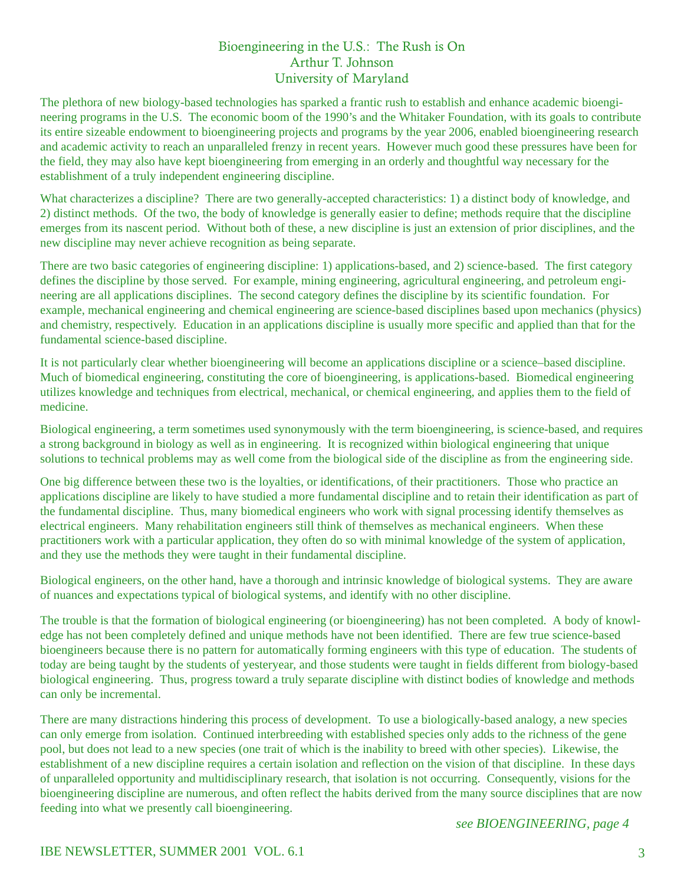#### Bioengineering in the U.S.: The Rush is On Arthur T. Johnson University of Maryland

The plethora of new biology-based technologies has sparked a frantic rush to establish and enhance academic bioengineering programs in the U.S. The economic boom of the 1990's and the Whitaker Foundation, with its goals to contribute its entire sizeable endowment to bioengineering projects and programs by the year 2006, enabled bioengineering research and academic activity to reach an unparalleled frenzy in recent years. However much good these pressures have been for the field, they may also have kept bioengineering from emerging in an orderly and thoughtful way necessary for the establishment of a truly independent engineering discipline.

What characterizes a discipline? There are two generally-accepted characteristics: 1) a distinct body of knowledge, and 2) distinct methods. Of the two, the body of knowledge is generally easier to define; methods require that the discipline emerges from its nascent period. Without both of these, a new discipline is just an extension of prior disciplines, and the new discipline may never achieve recognition as being separate.

There are two basic categories of engineering discipline: 1) applications-based, and 2) science-based. The first category defines the discipline by those served. For example, mining engineering, agricultural engineering, and petroleum engineering are all applications disciplines. The second category defines the discipline by its scientific foundation. For example, mechanical engineering and chemical engineering are science-based disciplines based upon mechanics (physics) and chemistry, respectively. Education in an applications discipline is usually more specific and applied than that for the fundamental science-based discipline.

It is not particularly clear whether bioengineering will become an applications discipline or a science–based discipline. Much of biomedical engineering, constituting the core of bioengineering, is applications-based. Biomedical engineering utilizes knowledge and techniques from electrical, mechanical, or chemical engineering, and applies them to the field of medicine.

Biological engineering, a term sometimes used synonymously with the term bioengineering, is science-based, and requires a strong background in biology as well as in engineering. It is recognized within biological engineering that unique solutions to technical problems may as well come from the biological side of the discipline as from the engineering side.

One big difference between these two is the loyalties, or identifications, of their practitioners. Those who practice an applications discipline are likely to have studied a more fundamental discipline and to retain their identification as part of the fundamental discipline. Thus, many biomedical engineers who work with signal processing identify themselves as electrical engineers. Many rehabilitation engineers still think of themselves as mechanical engineers. When these practitioners work with a particular application, they often do so with minimal knowledge of the system of application, and they use the methods they were taught in their fundamental discipline.

Biological engineers, on the other hand, have a thorough and intrinsic knowledge of biological systems. They are aware of nuances and expectations typical of biological systems, and identify with no other discipline.

The trouble is that the formation of biological engineering (or bioengineering) has not been completed. A body of knowledge has not been completely defined and unique methods have not been identified. There are few true science-based bioengineers because there is no pattern for automatically forming engineers with this type of education. The students of today are being taught by the students of yesteryear, and those students were taught in fields different from biology-based biological engineering. Thus, progress toward a truly separate discipline with distinct bodies of knowledge and methods can only be incremental.

There are many distractions hindering this process of development. To use a biologically-based analogy, a new species can only emerge from isolation. Continued interbreeding with established species only adds to the richness of the gene pool, but does not lead to a new species (one trait of which is the inability to breed with other species). Likewise, the establishment of a new discipline requires a certain isolation and reflection on the vision of that discipline. In these days of unparalleled opportunity and multidisciplinary research, that isolation is not occurring. Consequently, visions for the bioengineering discipline are numerous, and often reflect the habits derived from the many source disciplines that are now feeding into what we presently call bioengineering.

*see BIOENGINEERING, page 4*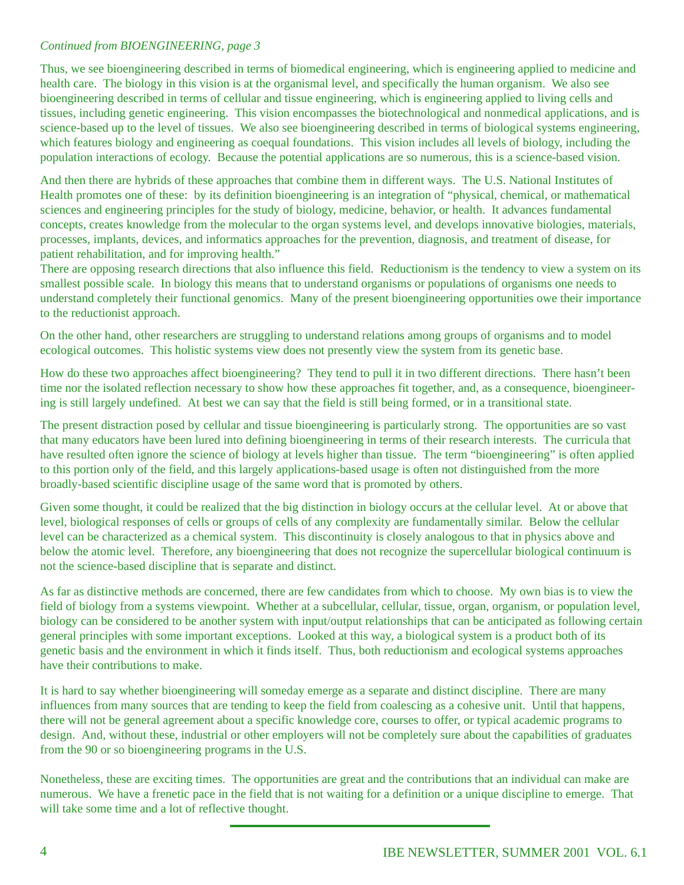#### *Continued from BIOENGINEERING, page 3*

Thus, we see bioengineering described in terms of biomedical engineering, which is engineering applied to medicine and health care. The biology in this vision is at the organismal level, and specifically the human organism. We also see bioengineering described in terms of cellular and tissue engineering, which is engineering applied to living cells and tissues, including genetic engineering. This vision encompasses the biotechnological and nonmedical applications, and is science-based up to the level of tissues. We also see bioengineering described in terms of biological systems engineering, which features biology and engineering as coequal foundations. This vision includes all levels of biology, including the population interactions of ecology. Because the potential applications are so numerous, this is a science-based vision.

And then there are hybrids of these approaches that combine them in different ways. The U.S. National Institutes of Health promotes one of these: by its definition bioengineering is an integration of "physical, chemical, or mathematical sciences and engineering principles for the study of biology, medicine, behavior, or health. It advances fundamental concepts, creates knowledge from the molecular to the organ systems level, and develops innovative biologies, materials, processes, implants, devices, and informatics approaches for the prevention, diagnosis, and treatment of disease, for patient rehabilitation, and for improving health."

There are opposing research directions that also influence this field. Reductionism is the tendency to view a system on its smallest possible scale. In biology this means that to understand organisms or populations of organisms one needs to understand completely their functional genomics. Many of the present bioengineering opportunities owe their importance to the reductionist approach.

On the other hand, other researchers are struggling to understand relations among groups of organisms and to model ecological outcomes. This holistic systems view does not presently view the system from its genetic base.

How do these two approaches affect bioengineering? They tend to pull it in two different directions. There hasn't been time nor the isolated reflection necessary to show how these approaches fit together, and, as a consequence, bioengineering is still largely undefined. At best we can say that the field is still being formed, or in a transitional state.

The present distraction posed by cellular and tissue bioengineering is particularly strong. The opportunities are so vast that many educators have been lured into defining bioengineering in terms of their research interests. The curricula that have resulted often ignore the science of biology at levels higher than tissue. The term "bioengineering" is often applied to this portion only of the field, and this largely applications-based usage is often not distinguished from the more broadly-based scientific discipline usage of the same word that is promoted by others.

Given some thought, it could be realized that the big distinction in biology occurs at the cellular level. At or above that level, biological responses of cells or groups of cells of any complexity are fundamentally similar. Below the cellular level can be characterized as a chemical system. This discontinuity is closely analogous to that in physics above and below the atomic level. Therefore, any bioengineering that does not recognize the supercellular biological continuum is not the science-based discipline that is separate and distinct.

As far as distinctive methods are concerned, there are few candidates from which to choose. My own bias is to view the field of biology from a systems viewpoint. Whether at a subcellular, cellular, tissue, organ, organism, or population level, biology can be considered to be another system with input/output relationships that can be anticipated as following certain general principles with some important exceptions. Looked at this way, a biological system is a product both of its genetic basis and the environment in which it finds itself. Thus, both reductionism and ecological systems approaches have their contributions to make.

It is hard to say whether bioengineering will someday emerge as a separate and distinct discipline. There are many influences from many sources that are tending to keep the field from coalescing as a cohesive unit. Until that happens, there will not be general agreement about a specific knowledge core, courses to offer, or typical academic programs to design. And, without these, industrial or other employers will not be completely sure about the capabilities of graduates from the 90 or so bioengineering programs in the U.S.

Nonetheless, these are exciting times. The opportunities are great and the contributions that an individual can make are numerous. We have a frenetic pace in the field that is not waiting for a definition or a unique discipline to emerge. That will take some time and a lot of reflective thought.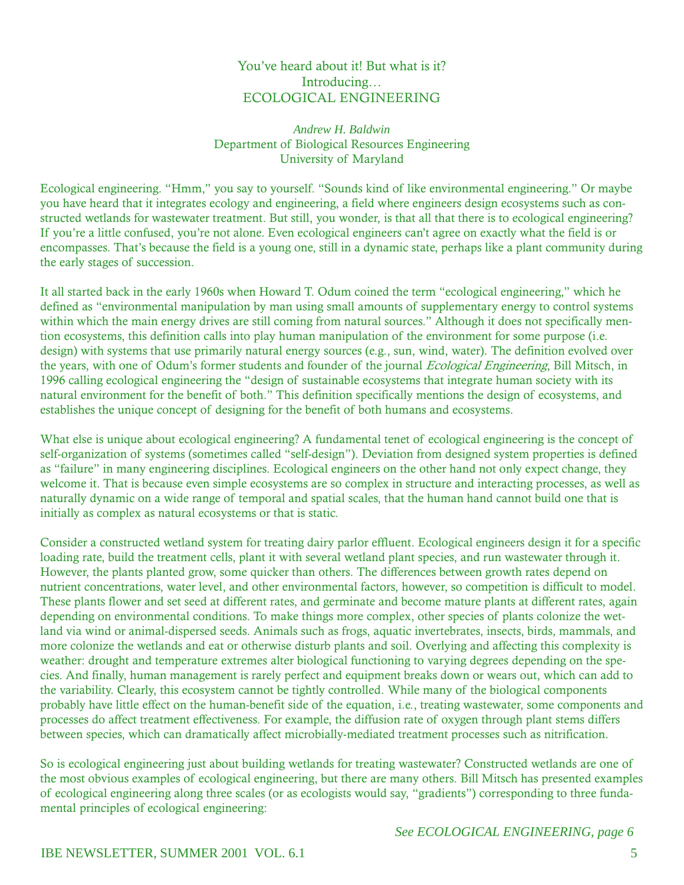#### You've heard about it! But what is it? Introducing... ECOLOGICAL ENGINEERING

#### Andrew H. Baldwin Department of Biological Resources Engineering University of Maryland

Ecological engineering. "Hmm," you say to yourself. "Sounds kind of like environmental engineering." Or maybe you have heard that it integrates ecology and engineering, a field where engineers design ecosystems such as constructed wetlands for wastewater treatment. But still, you wonder, is that all that there is to ecological engineering? If you're a little confused, you're not alone. Even ecological engineers can't agree on exactly what the field is or encompasses. That's because the field is a young one, still in a dynamic state, perhaps like a plant community during the early stages of succession.

It all started back in the early 1960s when Howard T. Odum coined the term "ecological engineering," which he defined as "environmental manipulation by man using small amounts of supplementary energy to control systems within which the main energy drives are still coming from natural sources." Although it does not specifically mention ecosystems, this definition calls into play human manipulation of the environment for some purpose (i.e. design) with systems that use primarily natural energy sources (e.g., sun, wind, water). The definition evolved over the years, with one of Odum's former students and founder of the journal *Ecological Engineering*, Bill Mitsch, in 1996 calling ecological engineering the "design of sustainable ecosystems that integrate human society with its natural environment for the benefit of both." This definition specifically mentions the design of ecosystems, and establishes the unique concept of designing for the benefit of both humans and ecosystems.

What else is unique about ecological engineering? A fundamental tenet of ecological engineering is the concept of self-organization of systems (sometimes called "self-design"). Deviation from designed system properties is defined as "failure" in many engineering disciplines. Ecological engineers on the other hand not only expect change, they welcome it. That is because even simple ecosystems are so complex in structure and interacting processes, as well as naturally dynamic on a wide range of temporal and spatial scales, that the human hand cannot build one that is initially as complex as natural ecosystems or that is static.

Consider a constructed wetland system for treating dairy parlor effluent. Ecological engineers design it for a specific loading rate, build the treatment cells, plant it with several wetland plant species, and run wastewater through it. However, the plants planted grow, some quicker than others. The differences between growth rates depend on nutrient concentrations, water level, and other environmental factors, however, so competition is difficult to model. These plants flower and set seed at different rates, and germinate and become mature plants at different rates, again depending on environmental conditions. To make things more complex, other species of plants colonize the wetland via wind or animal-dispersed seeds. Animals such as frogs, aquatic invertebrates, insects, birds, mammals, and more colonize the wetlands and eat or otherwise disturb plants and soil. Overlying and affecting this complexity is weather: drought and temperature extremes alter biological functioning to varying degrees depending on the species. And finally, human management is rarely perfect and equipment breaks down or wears out, which can add to the variability. Clearly, this ecosystem cannot be tightly controlled. While many of the biological components probably have little effect on the human-benefit side of the equation, *i.e.*, treating wastewater, some components and processes do affect treatment effectiveness. For example, the diffusion rate of oxygen through plant stems differs between species, which can dramatically affect microbially-mediated treatment processes such as nitrification.

So is ecological engineering just about building wetlands for treating wastewater? Constructed wetlands are one of the most obvious examples of ecological engineering, but there are many others. Bill Mitsch has presented examples of ecological engineering along three scales (or as ecologists would say, "gradients") corresponding to three fundamental principles of ecological engineering:

#### See ECOLOGICAL ENGINEERING, page 6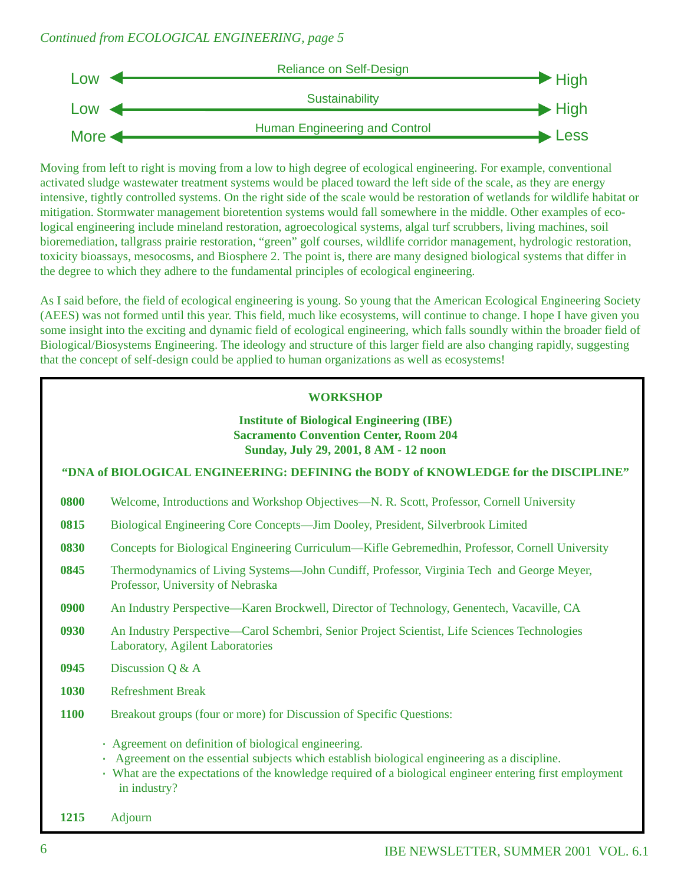#### *Continued from ECOLOGICAL ENGINEERING, page 5*



Moving from left to right is moving from a low to high degree of ecological engineering. For example, conventional activated sludge wastewater treatment systems would be placed toward the left side of the scale, as they are energy intensive, tightly controlled systems. On the right side of the scale would be restoration of wetlands for wildlife habitat or mitigation. Stormwater management bioretention systems would fall somewhere in the middle. Other examples of ecological engineering include mineland restoration, agroecological systems, algal turf scrubbers, living machines, soil bioremediation, tallgrass prairie restoration, "green" golf courses, wildlife corridor management, hydrologic restoration, toxicity bioassays, mesocosms, and Biosphere 2. The point is, there are many designed biological systems that differ in the degree to which they adhere to the fundamental principles of ecological engineering.

As I said before, the field of ecological engineering is young. So young that the American Ecological Engineering Society (AEES) was not formed until this year. This field, much like ecosystems, will continue to change. I hope I have given you some insight into the exciting and dynamic field of ecological engineering, which falls soundly within the broader field of Biological/Biosystems Engineering. The ideology and structure of this larger field are also changing rapidly, suggesting that the concept of self-design could be applied to human organizations as well as ecosystems!

#### **WORKSHOP**

#### **Institute of Biological Engineering (IBE) Sacramento Convention Center, Room 204 Sunday, July 29, 2001, 8 AM - 12 noon**

**"DNA of BIOLOGICAL ENGINEERING: DEFINING the BODY of KNOWLEDGE for the DISCIPLINE"**

- **0800** Welcome, Introductions and Workshop Objectives—N. R. Scott, Professor, Cornell University
- **0815** Biological Engineering Core Concepts—Jim Dooley, President, Silverbrook Limited
- **0830** Concepts for Biological Engineering Curriculum—Kifle Gebremedhin, Professor, Cornell University
- **0845** Thermodynamics of Living Systems—John Cundiff, Professor, Virginia Tech and George Meyer, Professor, University of Nebraska
- **0900** An Industry Perspective—Karen Brockwell, Director of Technology, Genentech, Vacaville, CA
- **0930** An Industry Perspective—Carol Schembri, Senior Project Scientist, Life Sciences Technologies Laboratory, Agilent Laboratories
- **0945** Discussion Q & A
- **1030** Refreshment Break
- **1100** Breakout groups (four or more) for Discussion of Specific Questions:
	- · Agreement on definition of biological engineering.
	- · Agreement on the essential subjects which establish biological engineering as a discipline.
	- · What are the expectations of the knowledge required of a biological engineer entering first employment in industry?

**1215** Adjourn